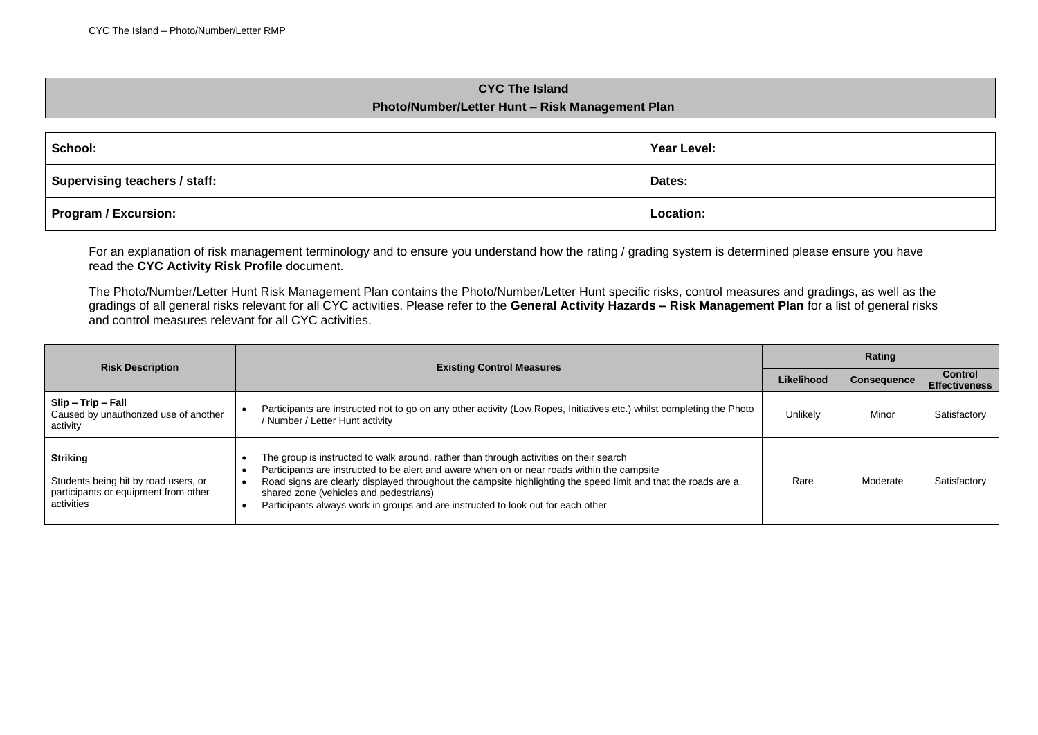## **CYC The Island Photo/Number/Letter Hunt – Risk Management Plan**

| School:                       | Year Level: |
|-------------------------------|-------------|
| Supervising teachers / staff: | Dates:      |
| <b>Program / Excursion:</b>   | Location:   |

For an explanation of risk management terminology and to ensure you understand how the rating / grading system is determined please ensure you have read the **CYC Activity Risk Profile** document.

The Photo/Number/Letter Hunt Risk Management Plan contains the Photo/Number/Letter Hunt specific risks, control measures and gradings, as well as the gradings of all general risks relevant for all CYC activities. Please refer to the **General Activity Hazards – Risk Management Plan** for a list of general risks and control measures relevant for all CYC activities.

| <b>Risk Description</b>                                                                                       | <b>Existing Control Measures</b>                                                                                                                                                                                                                                                                                                                                                                                                      |          | Rating             |                                        |  |
|---------------------------------------------------------------------------------------------------------------|---------------------------------------------------------------------------------------------------------------------------------------------------------------------------------------------------------------------------------------------------------------------------------------------------------------------------------------------------------------------------------------------------------------------------------------|----------|--------------------|----------------------------------------|--|
|                                                                                                               |                                                                                                                                                                                                                                                                                                                                                                                                                                       |          | <b>Consequence</b> | <b>Control</b><br><b>Effectiveness</b> |  |
| Slip - Trip - Fall<br>Caused by unauthorized use of another<br>activity                                       | Participants are instructed not to go on any other activity (Low Ropes, Initiatives etc.) whilst completing the Photo<br>/ Number / Letter Hunt activity                                                                                                                                                                                                                                                                              | Unlikely | Minor              | Satisfactory                           |  |
| <b>Striking</b><br>Students being hit by road users, or<br>participants or equipment from other<br>activities | The group is instructed to walk around, rather than through activities on their search<br>Participants are instructed to be alert and aware when on or near roads within the campsite<br>Road signs are clearly displayed throughout the campsite highlighting the speed limit and that the roads are a<br>shared zone (vehicles and pedestrians)<br>Participants always work in groups and are instructed to look out for each other | Rare     | Moderate           | Satisfactory                           |  |